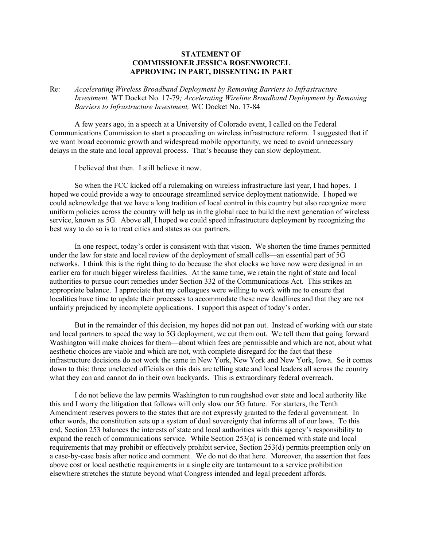## **STATEMENT OF COMMISSIONER JESSICA ROSENWORCEL APPROVING IN PART, DISSENTING IN PART**

Re: *Accelerating Wireless Broadband Deployment by Removing Barriers to Infrastructure Investment,* WT Docket No. 17-79*; Accelerating Wireline Broadband Deployment by Removing Barriers to Infrastructure Investment,* WC Docket No. 17-84

A few years ago, in a speech at a University of Colorado event, I called on the Federal Communications Commission to start a proceeding on wireless infrastructure reform. I suggested that if we want broad economic growth and widespread mobile opportunity, we need to avoid unnecessary delays in the state and local approval process. That's because they can slow deployment.

I believed that then. I still believe it now.

So when the FCC kicked off a rulemaking on wireless infrastructure last year, I had hopes. I hoped we could provide a way to encourage streamlined service deployment nationwide. I hoped we could acknowledge that we have a long tradition of local control in this country but also recognize more uniform policies across the country will help us in the global race to build the next generation of wireless service, known as 5G. Above all, I hoped we could speed infrastructure deployment by recognizing the best way to do so is to treat cities and states as our partners.

In one respect, today's order is consistent with that vision. We shorten the time frames permitted under the law for state and local review of the deployment of small cells—an essential part of 5G networks. I think this is the right thing to do because the shot clocks we have now were designed in an earlier era for much bigger wireless facilities. At the same time, we retain the right of state and local authorities to pursue court remedies under Section 332 of the Communications Act. This strikes an appropriate balance. I appreciate that my colleagues were willing to work with me to ensure that localities have time to update their processes to accommodate these new deadlines and that they are not unfairly prejudiced by incomplete applications. I support this aspect of today's order.

But in the remainder of this decision, my hopes did not pan out. Instead of working with our state and local partners to speed the way to 5G deployment, we cut them out. We tell them that going forward Washington will make choices for them—about which fees are permissible and which are not, about what aesthetic choices are viable and which are not, with complete disregard for the fact that these infrastructure decisions do not work the same in New York, New York and New York, Iowa. So it comes down to this: three unelected officials on this dais are telling state and local leaders all across the country what they can and cannot do in their own backyards. This is extraordinary federal overreach.

I do not believe the law permits Washington to run roughshod over state and local authority like this and I worry the litigation that follows will only slow our 5G future. For starters, the Tenth Amendment reserves powers to the states that are not expressly granted to the federal government. In other words, the constitution sets up a system of dual sovereignty that informs all of our laws. To this end, Section 253 balances the interests of state and local authorities with this agency's responsibility to expand the reach of communications service. While Section 253(a) is concerned with state and local requirements that may prohibit or effectively prohibit service, Section 253(d) permits preemption only on a case-by-case basis after notice and comment. We do not do that here. Moreover, the assertion that fees above cost or local aesthetic requirements in a single city are tantamount to a service prohibition elsewhere stretches the statute beyond what Congress intended and legal precedent affords.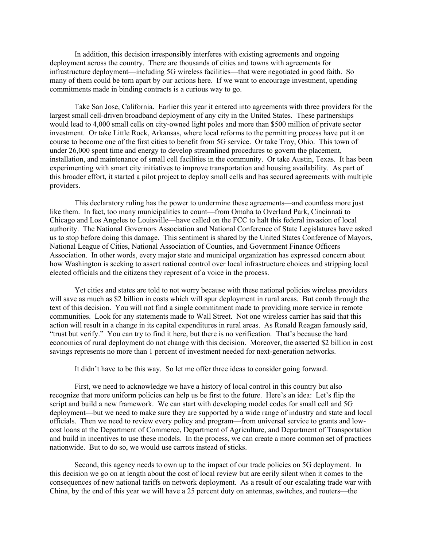In addition, this decision irresponsibly interferes with existing agreements and ongoing deployment across the country. There are thousands of cities and towns with agreements for infrastructure deployment—including 5G wireless facilities—that were negotiated in good faith. So many of them could be torn apart by our actions here. If we want to encourage investment, upending commitments made in binding contracts is a curious way to go.

Take San Jose, California. Earlier this year it entered into agreements with three providers for the largest small cell-driven broadband deployment of any city in the United States. These partnerships would lead to 4,000 small cells on city-owned light poles and more than \$500 million of private sector investment. Or take Little Rock, Arkansas, where local reforms to the permitting process have put it on course to become one of the first cities to benefit from 5G service. Or take Troy, Ohio. This town of under 26,000 spent time and energy to develop streamlined procedures to govern the placement, installation, and maintenance of small cell facilities in the community. Or take Austin, Texas. It has been experimenting with smart city initiatives to improve transportation and housing availability. As part of this broader effort, it started a pilot project to deploy small cells and has secured agreements with multiple providers.

This declaratory ruling has the power to undermine these agreements—and countless more just like them. In fact, too many municipalities to count—from Omaha to Overland Park, Cincinnati to Chicago and Los Angeles to Louisville—have called on the FCC to halt this federal invasion of local authority. The National Governors Association and National Conference of State Legislatures have asked us to stop before doing this damage. This sentiment is shared by the United States Conference of Mayors, National League of Cities, National Association of Counties, and Government Finance Officers Association. In other words, every major state and municipal organization has expressed concern about how Washington is seeking to assert national control over local infrastructure choices and stripping local elected officials and the citizens they represent of a voice in the process.

Yet cities and states are told to not worry because with these national policies wireless providers will save as much as \$2 billion in costs which will spur deployment in rural areas. But comb through the text of this decision. You will not find a single commitment made to providing more service in remote communities. Look for any statements made to Wall Street. Not one wireless carrier has said that this action will result in a change in its capital expenditures in rural areas. As Ronald Reagan famously said, "trust but verify." You can try to find it here, but there is no verification. That's because the hard economics of rural deployment do not change with this decision. Moreover, the asserted \$2 billion in cost savings represents no more than 1 percent of investment needed for next-generation networks.

It didn't have to be this way. So let me offer three ideas to consider going forward.

First, we need to acknowledge we have a history of local control in this country but also recognize that more uniform policies can help us be first to the future. Here's an idea: Let's flip the script and build a new framework. We can start with developing model codes for small cell and 5G deployment—but we need to make sure they are supported by a wide range of industry and state and local officials. Then we need to review every policy and program—from universal service to grants and lowcost loans at the Department of Commerce, Department of Agriculture, and Department of Transportation and build in incentives to use these models. In the process, we can create a more common set of practices nationwide. But to do so, we would use carrots instead of sticks.

Second, this agency needs to own up to the impact of our trade policies on 5G deployment. In this decision we go on at length about the cost of local review but are eerily silent when it comes to the consequences of new national tariffs on network deployment. As a result of our escalating trade war with China, by the end of this year we will have a 25 percent duty on antennas, switches, and routers—the